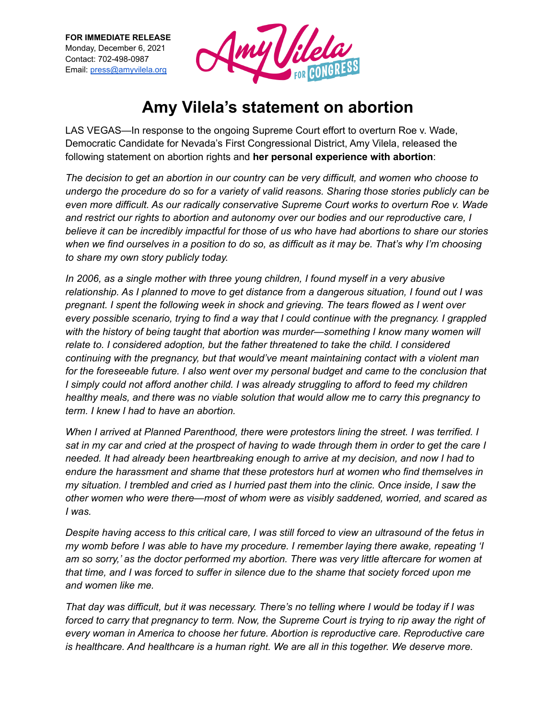

## **Amy Vilela's statement on abortion**

LAS VEGAS—In response to the ongoing Supreme Court effort to overturn Roe v. Wade, Democratic Candidate for Nevada's First Congressional District, Amy Vilela, released the following statement on abortion rights and **her personal experience with abortion**:

*The decision to get an abortion in our country can be very difficult, and women who choose to undergo the procedure do so for a variety of valid reasons. Sharing those stories publicly can be even more difficult. As our radically conservative Supreme Court works to overturn Roe v. Wade and restrict our rights to abortion and autonomy over our bodies and our reproductive care, I believe it can be incredibly impactful for those of us who have had abortions to share our stories* when we find ourselves in a position to do so, as difficult as it may be. That's why I'm choosing *to share my own story publicly today.*

*In 2006, as a single mother with three young children, I found myself in a very abusive relationship. As I planned to move to get distance from a dangerous situation, I found out I was pregnant. I spent the following week in shock and grieving. The tears flowed as I went over every possible scenario, trying to find a way that I could continue with the pregnancy. I grappled with the history of being taught that abortion was murder—something I know many women will relate to. I considered adoption, but the father threatened to take the child. I considered continuing with the pregnancy, but that would've meant maintaining contact with a violent man for the foreseeable future. I also went over my personal budget and came to the conclusion that I simply could not afford another child. I was already struggling to afford to feed my children healthy meals, and there was no viable solution that would allow me to carry this pregnancy to term. I knew I had to have an abortion.*

*When I arrived at Planned Parenthood, there were protestors lining the street. I was terrified. I* sat in my car and cried at the prospect of having to wade through them in order to get the care I *needed. It had already been heartbreaking enough to arrive at my decision, and now I had to endure the harassment and shame that these protestors hurl at women who find themselves in* my situation. I trembled and cried as I hurried past them into the clinic. Once inside, I saw the *other women who were there—most of whom were as visibly saddened, worried, and scared as I was.*

Despite having access to this critical care, I was still forced to view an ultrasound of the fetus in *my womb before I was able to have my procedure. I remember laying there awake, repeating 'I am so sorry,' as the doctor performed my abortion. There was very little aftercare for women at* that time, and I was forced to suffer in silence due to the shame that society forced upon me *and women like me.*

That day was difficult, but it was necessary. There's no telling where I would be today if I was forced to carry that pregnancy to term. Now, the Supreme Court is trying to rip away the right of *every woman in America to choose her future. Abortion is reproductive care. Reproductive care is healthcare. And healthcare is a human right. We are all in this together. We deserve more.*